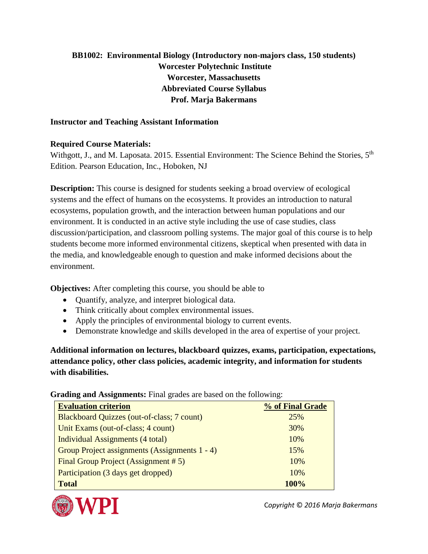## **BB1002: Environmental Biology (Introductory non-majors class, 150 students) Worcester Polytechnic Institute Worcester, Massachusetts Abbreviated Course Syllabus Prof. Marja Bakermans**

## **Instructor and Teaching Assistant Information**

## **Required Course Materials:**

Withgott, J., and M. Laposata. 2015. Essential Environment: The Science Behind the Stories, 5<sup>th</sup> Edition. Pearson Education, Inc., Hoboken, NJ

**Description:** This course is designed for students seeking a broad overview of ecological systems and the effect of humans on the ecosystems. It provides an introduction to natural ecosystems, population growth, and the interaction between human populations and our environment. It is conducted in an active style including the use of case studies, class discussion/participation, and classroom polling systems. The major goal of this course is to help students become more informed environmental citizens, skeptical when presented with data in the media, and knowledgeable enough to question and make informed decisions about the environment.

**Objectives:** After completing this course, you should be able to

- Quantify, analyze, and interpret biological data.
- Think critically about complex environmental issues.
- Apply the principles of environmental biology to current events.
- Demonstrate knowledge and skills developed in the area of expertise of your project.

**Additional information on lectures, blackboard quizzes, exams, participation, expectations, attendance policy, other class policies, academic integrity, and information for students with disabilities.**

**Grading and Assignments:** Final grades are based on the following:

| <b>Evaluation criterion</b>                   | % of Final Grade |  |
|-----------------------------------------------|------------------|--|
| Blackboard Quizzes (out-of-class; 7 count)    | 25%              |  |
| Unit Exams (out-of-class; 4 count)            | 30%              |  |
| Individual Assignments (4 total)              | 10%              |  |
| Group Project assignments (Assignments 1 - 4) | 15%              |  |
| Final Group Project (Assignment # 5)          | 10%              |  |
| Participation (3 days get dropped)            | 10%              |  |
| <b>Total</b>                                  | 100%             |  |



C*opyright* © *2016 Marja Bakermans*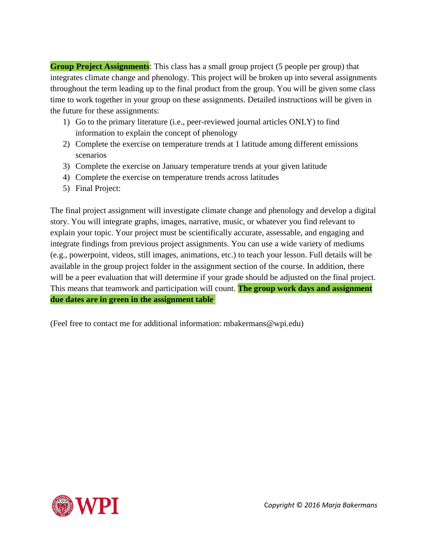**Group Project Assignments**: This class has a small group project (5 people per group) that integrates climate change and phenology. This project will be broken up into several assignments throughout the term leading up to the final product from the group. You will be given some class time to work together in your group on these assignments. Detailed instructions will be given in the future for these assignments:

- 1) Go to the primary literature (i.e., peer-reviewed journal articles ONLY) to find information to explain the concept of phenology
- 2) Complete the exercise on temperature trends at 1 latitude among different emissions scenarios
- 3) Complete the exercise on January temperature trends at your given latitude
- 4) Complete the exercise on temperature trends across latitudes
- 5) Final Project:

The final project assignment will investigate climate change and phenology and develop a digital story. You will integrate graphs, images, narrative, music, or whatever you find relevant to explain your topic. Your project must be scientifically accurate, assessable, and engaging and integrate findings from previous project assignments. You can use a wide variety of mediums (e.g., powerpoint, videos, still images, animations, etc.) to teach your lesson. Full details will be available in the group project folder in the assignment section of the course. In addition, there will be a peer evaluation that will determine if your grade should be adjusted on the final project. This means that teamwork and participation will count. **The group work days and assignment due dates are in green in the assignment table.**

(Feel free to contact me for additional information: mbakermans@wpi.edu)